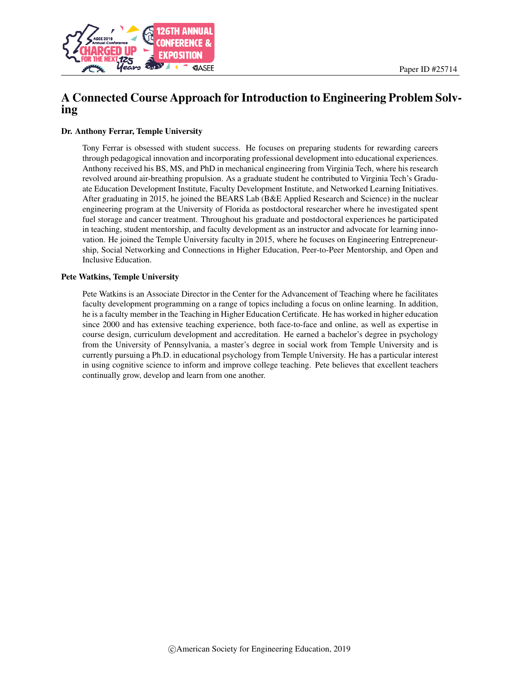

# A Connected Course Approach for Introduction to Engineering Problem Solving

#### Dr. Anthony Ferrar, Temple University

Tony Ferrar is obsessed with student success. He focuses on preparing students for rewarding careers through pedagogical innovation and incorporating professional development into educational experiences. Anthony received his BS, MS, and PhD in mechanical engineering from Virginia Tech, where his research revolved around air-breathing propulsion. As a graduate student he contributed to Virginia Tech's Graduate Education Development Institute, Faculty Development Institute, and Networked Learning Initiatives. After graduating in 2015, he joined the BEARS Lab (B&E Applied Research and Science) in the nuclear engineering program at the University of Florida as postdoctoral researcher where he investigated spent fuel storage and cancer treatment. Throughout his graduate and postdoctoral experiences he participated in teaching, student mentorship, and faculty development as an instructor and advocate for learning innovation. He joined the Temple University faculty in 2015, where he focuses on Engineering Entrepreneurship, Social Networking and Connections in Higher Education, Peer-to-Peer Mentorship, and Open and Inclusive Education.

#### Pete Watkins, Temple University

Pete Watkins is an Associate Director in the Center for the Advancement of Teaching where he facilitates faculty development programming on a range of topics including a focus on online learning. In addition, he is a faculty member in the Teaching in Higher Education Certificate. He has worked in higher education since 2000 and has extensive teaching experience, both face-to-face and online, as well as expertise in course design, curriculum development and accreditation. He earned a bachelor's degree in psychology from the University of Pennsylvania, a master's degree in social work from Temple University and is currently pursuing a Ph.D. in educational psychology from Temple University. He has a particular interest in using cognitive science to inform and improve college teaching. Pete believes that excellent teachers continually grow, develop and learn from one another.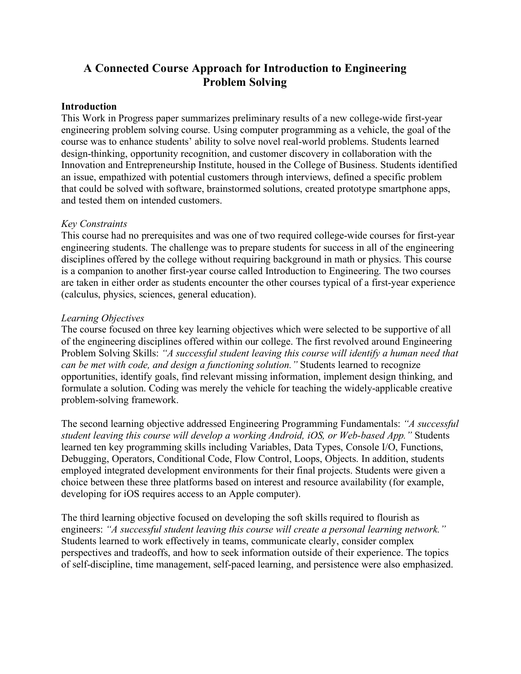# **A Connected Course Approach for Introduction to Engineering Problem Solving**

#### **Introduction**

This Work in Progress paper summarizes preliminary results of a new college-wide first-year engineering problem solving course. Using computer programming as a vehicle, the goal of the course was to enhance students' ability to solve novel real-world problems. Students learned design-thinking, opportunity recognition, and customer discovery in collaboration with the Innovation and Entrepreneurship Institute, housed in the College of Business. Students identified an issue, empathized with potential customers through interviews, defined a specific problem that could be solved with software, brainstormed solutions, created prototype smartphone apps, and tested them on intended customers.

#### *Key Constraints*

This course had no prerequisites and was one of two required college-wide courses for first-year engineering students. The challenge was to prepare students for success in all of the engineering disciplines offered by the college without requiring background in math or physics. This course is a companion to another first-year course called Introduction to Engineering. The two courses are taken in either order as students encounter the other courses typical of a first-year experience (calculus, physics, sciences, general education).

#### *Learning Objectives*

The course focused on three key learning objectives which were selected to be supportive of all of the engineering disciplines offered within our college. The first revolved around Engineering Problem Solving Skills: *"A successful student leaving this course will identify a human need that can be met with code, and design a functioning solution."* Students learned to recognize opportunities, identify goals, find relevant missing information, implement design thinking, and formulate a solution. Coding was merely the vehicle for teaching the widely-applicable creative problem-solving framework.

The second learning objective addressed Engineering Programming Fundamentals: *"A successful student leaving this course will develop a working Android, iOS, or Web-based App."* Students learned ten key programming skills including Variables, Data Types, Console I/O, Functions, Debugging, Operators, Conditional Code, Flow Control, Loops, Objects. In addition, students employed integrated development environments for their final projects. Students were given a choice between these three platforms based on interest and resource availability (for example, developing for iOS requires access to an Apple computer).

The third learning objective focused on developing the soft skills required to flourish as engineers: *"A successful student leaving this course will create a personal learning network."* Students learned to work effectively in teams, communicate clearly, consider complex perspectives and tradeoffs, and how to seek information outside of their experience. The topics of self-discipline, time management, self-paced learning, and persistence were also emphasized.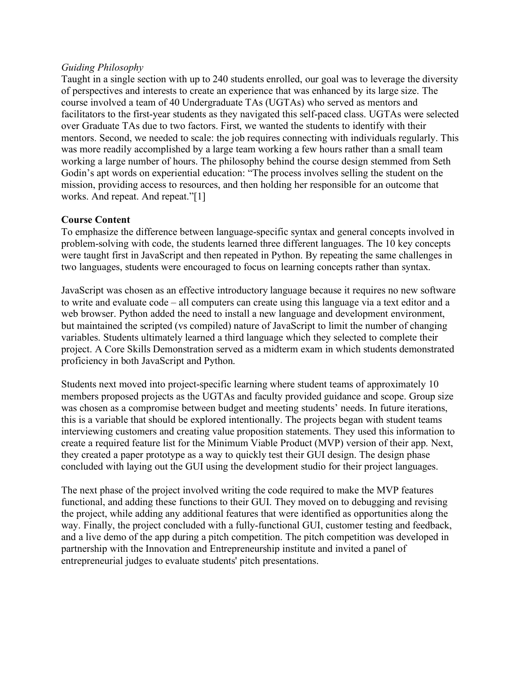### *Guiding Philosophy*

Taught in a single section with up to 240 students enrolled, our goal was to leverage the diversity of perspectives and interests to create an experience that was enhanced by its large size. The course involved a team of 40 Undergraduate TAs (UGTAs) who served as mentors and facilitators to the first-year students as they navigated this self-paced class. UGTAs were selected over Graduate TAs due to two factors. First, we wanted the students to identify with their mentors. Second, we needed to scale: the job requires connecting with individuals regularly. This was more readily accomplished by a large team working a few hours rather than a small team working a large number of hours. The philosophy behind the course design stemmed from Seth Godin's apt words on experiential education: "The process involves selling the student on the mission, providing access to resources, and then holding her responsible for an outcome that works. And repeat. And repeat."[1]

# **Course Content**

To emphasize the difference between language-specific syntax and general concepts involved in problem-solving with code, the students learned three different languages. The 10 key concepts were taught first in JavaScript and then repeated in Python. By repeating the same challenges in two languages, students were encouraged to focus on learning concepts rather than syntax.

JavaScript was chosen as an effective introductory language because it requires no new software to write and evaluate code – all computers can create using this language via a text editor and a web browser. Python added the need to install a new language and development environment, but maintained the scripted (vs compiled) nature of JavaScript to limit the number of changing variables. Students ultimately learned a third language which they selected to complete their project. A Core Skills Demonstration served as a midterm exam in which students demonstrated proficiency in both JavaScript and Python.

Students next moved into project-specific learning where student teams of approximately 10 members proposed projects as the UGTAs and faculty provided guidance and scope. Group size was chosen as a compromise between budget and meeting students' needs. In future iterations, this is a variable that should be explored intentionally. The projects began with student teams interviewing customers and creating value proposition statements. They used this information to create a required feature list for the Minimum Viable Product (MVP) version of their app. Next, they created a paper prototype as a way to quickly test their GUI design. The design phase concluded with laying out the GUI using the development studio for their project languages.

The next phase of the project involved writing the code required to make the MVP features functional, and adding these functions to their GUI. They moved on to debugging and revising the project, while adding any additional features that were identified as opportunities along the way. Finally, the project concluded with a fully-functional GUI, customer testing and feedback, and a live demo of the app during a pitch competition. The pitch competition was developed in partnership with the Innovation and Entrepreneurship institute and invited a panel of entrepreneurial judges to evaluate students' pitch presentations.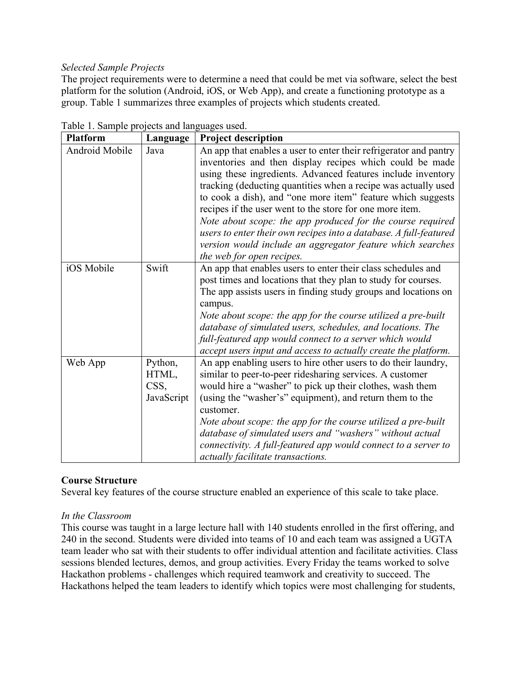# *Selected Sample Projects*

The project requirements were to determine a need that could be met via software, select the best platform for the solution (Android, iOS, or Web App), and create a functioning prototype as a group. Table 1 summarizes three examples of projects which students created.

| <b>Platform</b> | Language                               | <b>Project description</b>                                                                                                                                                                                                                                                                                                                                                                                                                                                                                                                                                                                               |
|-----------------|----------------------------------------|--------------------------------------------------------------------------------------------------------------------------------------------------------------------------------------------------------------------------------------------------------------------------------------------------------------------------------------------------------------------------------------------------------------------------------------------------------------------------------------------------------------------------------------------------------------------------------------------------------------------------|
| Android Mobile  | Java                                   | An app that enables a user to enter their refrigerator and pantry<br>inventories and then display recipes which could be made<br>using these ingredients. Advanced features include inventory<br>tracking (deducting quantities when a recipe was actually used<br>to cook a dish), and "one more item" feature which suggests<br>recipes if the user went to the store for one more item.<br>Note about scope: the app produced for the course required<br>users to enter their own recipes into a database. A full-featured<br>version would include an aggregator feature which searches<br>the web for open recipes. |
| iOS Mobile      | Swift                                  | An app that enables users to enter their class schedules and<br>post times and locations that they plan to study for courses.<br>The app assists users in finding study groups and locations on<br>campus.<br>Note about scope: the app for the course utilized a pre-built<br>database of simulated users, schedules, and locations. The<br>full-featured app would connect to a server which would<br>accept users input and access to actually create the platform.                                                                                                                                                   |
| Web App         | Python,<br>HTML,<br>CSS,<br>JavaScript | An app enabling users to hire other users to do their laundry,<br>similar to peer-to-peer ridesharing services. A customer<br>would hire a "washer" to pick up their clothes, wash them<br>(using the "washer's" equipment), and return them to the<br>customer.<br>Note about scope: the app for the course utilized a pre-built<br>database of simulated users and "washers" without actual<br>connectivity. A full-featured app would connect to a server to<br>actually facilitate transactions.                                                                                                                     |

Table 1. Sample projects and languages used.

# **Course Structure**

Several key features of the course structure enabled an experience of this scale to take place.

# *In the Classroom*

This course was taught in a large lecture hall with 140 students enrolled in the first offering, and 240 in the second. Students were divided into teams of 10 and each team was assigned a UGTA team leader who sat with their students to offer individual attention and facilitate activities. Class sessions blended lectures, demos, and group activities. Every Friday the teams worked to solve Hackathon problems - challenges which required teamwork and creativity to succeed. The Hackathons helped the team leaders to identify which topics were most challenging for students,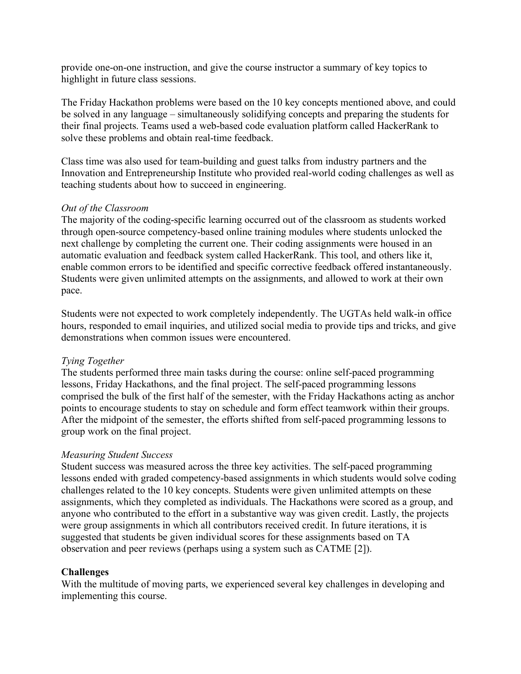provide one-on-one instruction, and give the course instructor a summary of key topics to highlight in future class sessions.

The Friday Hackathon problems were based on the 10 key concepts mentioned above, and could be solved in any language – simultaneously solidifying concepts and preparing the students for their final projects. Teams used a web-based code evaluation platform called HackerRank to solve these problems and obtain real-time feedback.

Class time was also used for team-building and guest talks from industry partners and the Innovation and Entrepreneurship Institute who provided real-world coding challenges as well as teaching students about how to succeed in engineering.

### *Out of the Classroom*

The majority of the coding-specific learning occurred out of the classroom as students worked through open-source competency-based online training modules where students unlocked the next challenge by completing the current one. Their coding assignments were housed in an automatic evaluation and feedback system called HackerRank. This tool, and others like it, enable common errors to be identified and specific corrective feedback offered instantaneously. Students were given unlimited attempts on the assignments, and allowed to work at their own pace.

Students were not expected to work completely independently. The UGTAs held walk-in office hours, responded to email inquiries, and utilized social media to provide tips and tricks, and give demonstrations when common issues were encountered.

### *Tying Together*

The students performed three main tasks during the course: online self-paced programming lessons, Friday Hackathons, and the final project. The self-paced programming lessons comprised the bulk of the first half of the semester, with the Friday Hackathons acting as anchor points to encourage students to stay on schedule and form effect teamwork within their groups. After the midpoint of the semester, the efforts shifted from self-paced programming lessons to group work on the final project.

### *Measuring Student Success*

Student success was measured across the three key activities. The self-paced programming lessons ended with graded competency-based assignments in which students would solve coding challenges related to the 10 key concepts. Students were given unlimited attempts on these assignments, which they completed as individuals. The Hackathons were scored as a group, and anyone who contributed to the effort in a substantive way was given credit. Lastly, the projects were group assignments in which all contributors received credit. In future iterations, it is suggested that students be given individual scores for these assignments based on TA observation and peer reviews (perhaps using a system such as CATME [2]).

### **Challenges**

With the multitude of moving parts, we experienced several key challenges in developing and implementing this course.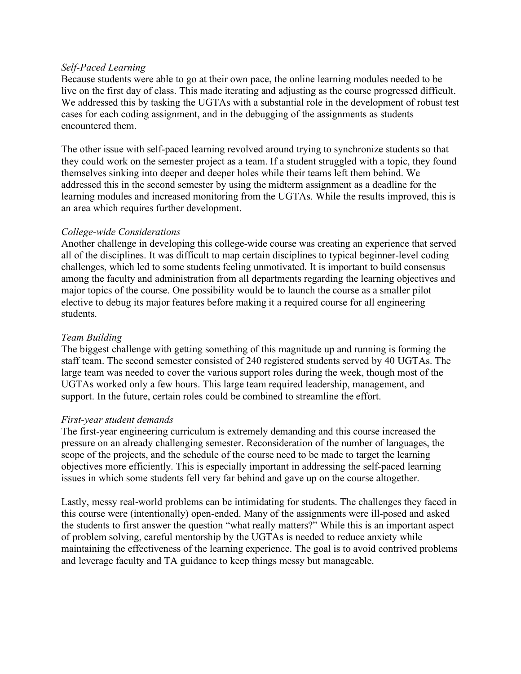### *Self-Paced Learning*

Because students were able to go at their own pace, the online learning modules needed to be live on the first day of class. This made iterating and adjusting as the course progressed difficult. We addressed this by tasking the UGTAs with a substantial role in the development of robust test cases for each coding assignment, and in the debugging of the assignments as students encountered them.

The other issue with self-paced learning revolved around trying to synchronize students so that they could work on the semester project as a team. If a student struggled with a topic, they found themselves sinking into deeper and deeper holes while their teams left them behind. We addressed this in the second semester by using the midterm assignment as a deadline for the learning modules and increased monitoring from the UGTAs. While the results improved, this is an area which requires further development.

## *College-wide Considerations*

Another challenge in developing this college-wide course was creating an experience that served all of the disciplines. It was difficult to map certain disciplines to typical beginner-level coding challenges, which led to some students feeling unmotivated. It is important to build consensus among the faculty and administration from all departments regarding the learning objectives and major topics of the course. One possibility would be to launch the course as a smaller pilot elective to debug its major features before making it a required course for all engineering students.

# *Team Building*

The biggest challenge with getting something of this magnitude up and running is forming the staff team. The second semester consisted of 240 registered students served by 40 UGTAs. The large team was needed to cover the various support roles during the week, though most of the UGTAs worked only a few hours. This large team required leadership, management, and support. In the future, certain roles could be combined to streamline the effort.

### *First-year student demands*

The first-year engineering curriculum is extremely demanding and this course increased the pressure on an already challenging semester. Reconsideration of the number of languages, the scope of the projects, and the schedule of the course need to be made to target the learning objectives more efficiently. This is especially important in addressing the self-paced learning issues in which some students fell very far behind and gave up on the course altogether.

Lastly, messy real-world problems can be intimidating for students. The challenges they faced in this course were (intentionally) open-ended. Many of the assignments were ill-posed and asked the students to first answer the question "what really matters?" While this is an important aspect of problem solving, careful mentorship by the UGTAs is needed to reduce anxiety while maintaining the effectiveness of the learning experience. The goal is to avoid contrived problems and leverage faculty and TA guidance to keep things messy but manageable.